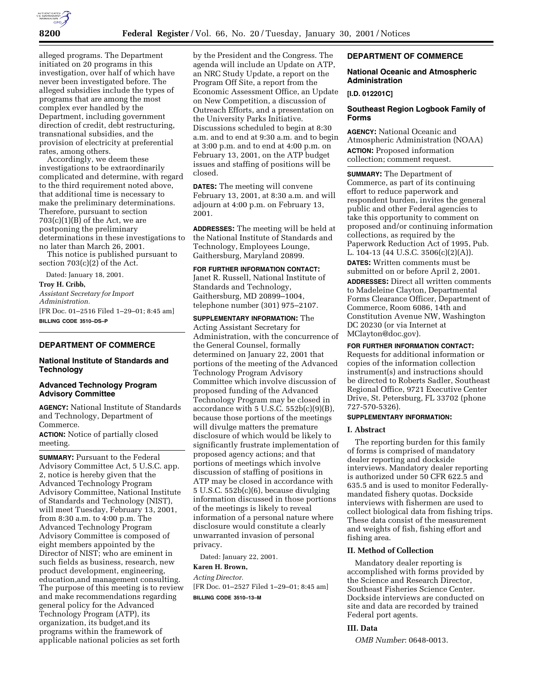

alleged programs. The Department initiated on 20 programs in this investigation, over half of which have never been investigated before. The alleged subsidies include the types of programs that are among the most complex ever handled by the Department, including government direction of credit, debt restructuring, transnational subsidies, and the provision of electricity at preferential rates, among others.

Accordingly, we deem these investigations to be extraordinarily complicated and determine, with regard to the third requirement noted above, that additional time is necessary to make the preliminary determinations. Therefore, pursuant to section  $703(c)(1)(B)$  of the Act, we are postponing the preliminary determinations in these investigations to no later than March 26, 2001.

This notice is published pursuant to section 703(c)(2) of the Act.

Dated: January 18, 2001. **Troy H. Cribb,**

*Assistant Secretary for Import Administration.* [FR Doc. 01–2516 Filed 1–29–01; 8:45 am]

**BILLING CODE 3510–DS–P**

# **DEPARTMENT OF COMMERCE**

## **National Institute of Standards and Technology**

### **Advanced Technology Program Advisory Committee**

**AGENCY:** National Institute of Standards and Technology, Department of Commerce.

**ACTION:** Notice of partially closed meeting.

**SUMMARY: Pursuant to the Federal** Advisory Committee Act, 5 U.S.C. app. 2, notice is hereby given that the Advanced Technology Program Advisory Committee, National Institute of Standards and Technology (NIST), will meet Tuesday, February 13, 2001, from 8:30 a.m. to 4:00 p.m. The Advanced Technology Program Advisory Committee is composed of eight members appointed by the Director of NIST; who are eminent in such fields as business, research, new product development, engineering, education,and management consulting. The purpose of this meeting is to review and make recommendations regarding general policy for the Advanced Technology Program (ATP), its organization, its budget,and its programs within the framework of applicable national policies as set forth

by the President and the Congress. The agenda will include an Update on ATP, an NRC Study Update, a report on the Program Off Site, a report from the Economic Assessment Office, an Update on New Competition, a discussion of Outreach Efforts, and a presentation on the University Parks Initiative. Discussions scheduled to begin at 8:30 a.m. and to end at 9:30 a.m. and to begin at 3:00 p.m. and to end at 4:00 p.m. on February 13, 2001, on the ATP budget issues and staffing of positions will be closed.

**DATES:** The meeting will convene February 13, 2001, at 8:30 a.m. and will adjourn at 4:00 p.m. on February 13, 2001.

**ADDRESSES:** The meeting will be held at the National Institute of Standards and Technology, Employees Lounge, Gaithersburg, Maryland 20899.

## **FOR FURTHER INFORMATION CONTACT:**

Janet R. Russell, National Institute of Standards and Technology, Gaithersburg, MD 20899–1004, telephone number (301) 975–2107.

**SUPPLEMENTARY INFORMATION:** The Acting Assistant Secretary for Administration, with the concurrence of the General Counsel, formally determined on January 22, 2001 that portions of the meeting of the Advanced Technology Program Advisory Committee which involve discussion of proposed funding of the Advanced Technology Program may be closed in accordance with 5 U.S.C. 552b(c)(9)(B), because those portions of the meetings will divulge matters the premature disclosure of which would be likely to significantly frustrate implementation of proposed agency actions; and that portions of meetings which involve discussion of staffing of positions in ATP may be closed in accordance with 5 U.S.C. 552b(c)(6), because divulging information discussed in those portions of the meetings is likely to reveal information of a personal nature where disclosure would constitute a clearly unwarranted invasion of personal privacy.

Dated: January 22, 2001.

### **Karen H. Brown,**

*Acting Director.* [FR Doc. 01–2527 Filed 1–29–01; 8:45 am] **BILLING CODE 3510–13–M**

## **DEPARTMENT OF COMMERCE**

### **National Oceanic and Atmospheric Administration**

### **[I.D. 012201C]**

# **Southeast Region Logbook Family of Forms**

**AGENCY:** National Oceanic and Atmospheric Administration (NOAA) **ACTION:** Proposed information collection; comment request.

**SUMMARY:** The Department of Commerce, as part of its continuing effort to reduce paperwork and respondent burden, invites the general public and other Federal agencies to take this opportunity to comment on proposed and/or continuing information collections, as required by the Paperwork Reduction Act of 1995, Pub. L. 104-13 (44 U.S.C. 3506(c)(2)(A)).

**DATES:** Written comments must be submitted on or before April 2, 2001.

**ADDRESSES:** Direct all written comments to Madeleine Clayton, Departmental Forms Clearance Officer, Department of Commerce, Room 6086, 14th and Constitution Avenue NW, Washington DC 20230 (or via Internet at MClayton@doc.gov).

**FOR FURTHER INFORMATION CONTACT:**

Requests for additional information or copies of the information collection instrument(s) and instructions should be directed to Roberts Sadler, Southeast Regional Office, 9721 Executive Center Drive, St. Petersburg, FL 33702 (phone 727-570-5326).

### **SUPPLEMENTARY INFORMATION:**

# **I. Abstract**

The reporting burden for this family of forms is comprised of mandatory dealer reporting and dockside interviews. Mandatory dealer reporting is authorized under 50 CFR 622.5 and 635.5 and is used to monitor Federallymandated fishery quotas. Dockside interviews with fishermen are used to collect biological data from fishing trips. These data consist of the measurement and weights of fish, fishing effort and fishing area.

### **II. Method of Collection**

Mandatory dealer reporting is accomplished with forms provided by the Science and Research Director, Southeast Fisheries Science Center. Dockside interviews are conducted on site and data are recorded by trained Federal port agents.

# **III. Data**

*OMB Number*: 0648-0013.